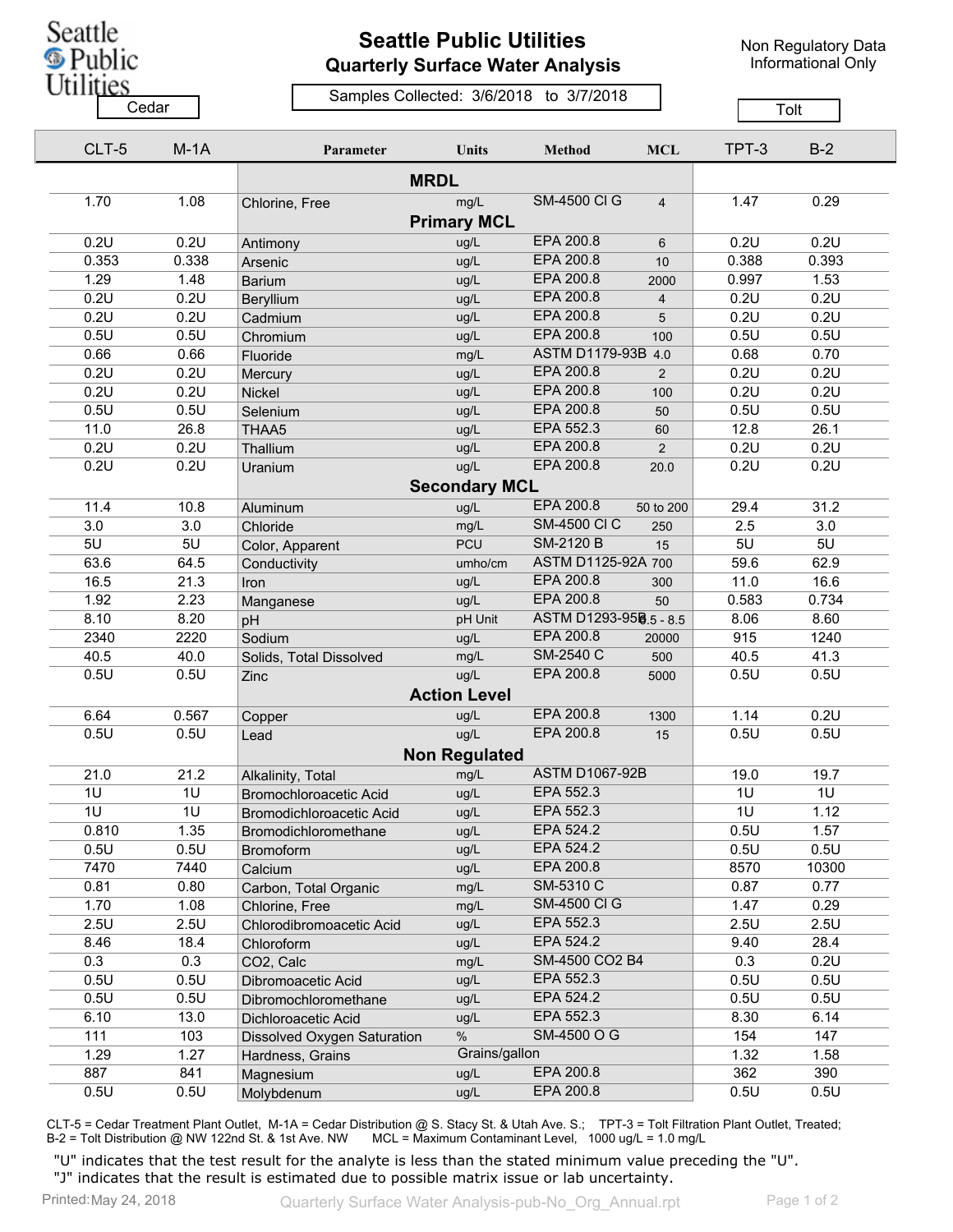Seattle **S** Public **Utilities** 

## **Seattle Public Utilities Quarterly Surface Water Analysis**

Non Regulatory Data Informational Only

## Samples Collected: 3/6/2018 to 3/7/2018 Cedar **Cedar Cedar Cedar Cedar Cedar Cedar Cedar Tolt**

| CLT-5 | $M-1A$ | Parameter                   | <b>Units</b>         | Method                       | <b>MCL</b>     | TPT-3 | $B-2$ |
|-------|--------|-----------------------------|----------------------|------------------------------|----------------|-------|-------|
|       |        |                             |                      |                              |                |       |       |
| 1.70  | 1.08   | Chlorine, Free              | mg/L                 | <b>SM-4500 CI G</b>          | $\overline{4}$ | 1.47  | 0.29  |
|       |        |                             | <b>Primary MCL</b>   |                              |                |       |       |
| 0.2U  | 0.2U   | Antimony                    | ug/L                 | EPA 200.8                    | 6              | 0.2U  | 0.2U  |
| 0.353 | 0.338  | Arsenic                     | ug/L                 | EPA 200.8                    | 10             | 0.388 | 0.393 |
| 1.29  | 1.48   | <b>Barium</b>               | ug/L                 | EPA 200.8                    | 2000           | 0.997 | 1.53  |
| 0.2U  | 0.2U   | Beryllium                   | ug/L                 | EPA 200.8                    | $\overline{4}$ | 0.2U  | 0.2U  |
| 0.2U  | 0.2U   | Cadmium                     | ug/L                 | EPA 200.8                    | 5              | 0.2U  | 0.2U  |
| 0.5U  | 0.5U   | Chromium                    | ug/L                 | <b>EPA 200.8</b>             | 100            | 0.5U  | 0.5U  |
| 0.66  | 0.66   | Fluoride                    | mg/L                 | <b>ASTM D1179-93B</b><br>4.0 |                | 0.68  | 0.70  |
| 0.2U  | 0.2U   | Mercury                     | ug/L                 | EPA 200.8                    | $\overline{2}$ | 0.2U  | 0.2U  |
| 0.2U  | 0.2U   | Nickel                      | ug/L                 | EPA 200.8                    | 100            | 0.2U  | 0.2U  |
| 0.5U  | 0.5U   | Selenium                    | ug/L                 | EPA 200.8                    | 50             | 0.5U  | 0.5U  |
| 11.0  | 26.8   | THAA5                       | ug/L                 | EPA 552.3                    | 60             | 12.8  | 26.1  |
| 0.2U  | 0.2U   | Thallium                    | ug/L                 | EPA 200.8                    | $\overline{2}$ | 0.2U  | 0.2U  |
| 0.2U  | 0.2U   | Uranium                     | ug/L                 | EPA 200.8                    | 20.0           | 0.2U  | 0.2U  |
|       |        |                             | <b>Secondary MCL</b> |                              |                |       |       |
| 11.4  | 10.8   | Aluminum                    | ug/L                 | EPA 200.8                    | 50 to 200      | 29.4  | 31.2  |
| 3.0   | 3.0    | Chloride                    | mg/L                 | <b>SM-4500 CI C</b>          | 250            | 2.5   | 3.0   |
| 5U    | 5U     | Color, Apparent             | <b>PCU</b>           | <b>SM-2120 B</b>             | 15             | 5U    | 5U    |
| 63.6  | 64.5   | Conductivity                | umho/cm              | ASTM D1125-92A 700           |                | 59.6  | 62.9  |
| 16.5  | 21.3   | Iron                        | ug/L                 | EPA 200.8                    | 300            | 11.0  | 16.6  |
| 1.92  | 2.23   |                             | ug/L                 | EPA 200.8                    | 50             | 0.583 | 0.734 |
| 8.10  | 8.20   | Manganese                   | pH Unit              | ASTM D1293-958.5 - 8.5       |                | 8.06  | 8.60  |
| 2340  | 2220   | pH<br>Sodium                | ug/L                 | EPA 200.8                    | 20000          | 915   | 1240  |
| 40.5  | 40.0   |                             | mg/L                 | SM-2540 C                    | 500            | 40.5  | 41.3  |
| 0.5U  | 0.5U   | Solids, Total Dissolved     | ug/L                 | EPA 200.8                    | 5000           | 0.5U  | 0.5U  |
|       |        | Zinc                        | <b>Action Level</b>  |                              |                |       |       |
|       |        |                             |                      | EPA 200.8                    |                |       |       |
| 6.64  | 0.567  | Copper                      | ug/L                 | EPA 200.8                    | 1300           | 1.14  | 0.2U  |
| 0.5U  | 0.5U   | Lead                        | ug/L                 |                              | 15             | 0.5U  | 0.5U  |
|       |        |                             | <b>Non Regulated</b> |                              |                |       |       |
| 21.0  | 21.2   | Alkalinity, Total           | mg/L                 | <b>ASTM D1067-92B</b>        |                | 19.0  | 19.7  |
| 1U    | 1U     | Bromochloroacetic Acid      | ug/L                 | EPA 552.3                    |                | 1U    | 1U    |
| 1U    | 1U     | Bromodichloroacetic Acid    | ug/L                 | EPA 552.3                    |                | 1U    | 1.12  |
| 0.810 | 1.35   | Bromodichloromethane        | ug/L                 | EPA 524.2                    |                | 0.5U  | 1.57  |
| 0.5U  | 0.5U   | <b>Bromoform</b>            | ug/L                 | EPA 524.2                    |                | 0.5U  | 0.5U  |
| 7470  | 7440   | Calcium                     | ug/L                 | EPA 200.8                    |                | 8570  | 10300 |
| 0.81  | 0.80   | Carbon, Total Organic       | mg/L                 | SM-5310 C                    |                | 0.87  | 0.77  |
| 1.70  | 1.08   | Chlorine, Free              | mg/L                 | <b>SM-4500 CI G</b>          |                | 1.47  | 0.29  |
| 2.5U  | 2.5U   | Chlorodibromoacetic Acid    | ug/L                 | EPA 552.3                    |                | 2.5U  | 2.5U  |
| 8.46  | 18.4   | Chloroform                  | ug/L                 | EPA 524.2                    |                | 9.40  | 28.4  |
| 0.3   | 0.3    | CO2, Calc                   | mg/L                 | SM-4500 CO2 B4               |                | 0.3   | 0.2U  |
| 0.5U  | 0.5U   | Dibromoacetic Acid          | ug/L                 | EPA 552.3                    |                | 0.5U  | 0.5U  |
| 0.5U  | 0.5U   | Dibromochloromethane        | ug/L                 | EPA 524.2                    |                | 0.5U  | 0.5U  |
| 6.10  | 13.0   | Dichloroacetic Acid         | ug/L                 | EPA 552.3                    |                | 8.30  | 6.14  |
| 111   | 103    | Dissolved Oxygen Saturation | $\%$                 | SM-4500 O G                  |                | 154   | 147   |
| 1.29  | 1.27   | Hardness, Grains            | Grains/gallon        |                              |                | 1.32  | 1.58  |
| 887   | 841    | Magnesium                   | ug/L                 | EPA 200.8                    |                | 362   | 390   |
| 0.5U  | 0.5U   | Molybdenum                  | ug/L                 | EPA 200.8                    |                | 0.5U  | 0.5U  |

CLT-5 = Cedar Treatment Plant Outlet, M-1A = Cedar Distribution @ S. Stacy St. & Utah Ave. S.; TPT-3 = Tolt Filtration Plant Outlet, Treated; B-2 = Tolt Distribution @ NW 122nd St. & 1st Ave. NW MCL = Maximum Contaminant Level, 1000 ug/L = 1.0 mg/L

"U" indicates that the test result for the analyte is less than the stated minimum value preceding the "U". "J" indicates that the result is estimated due to possible matrix issue or lab uncertainty.